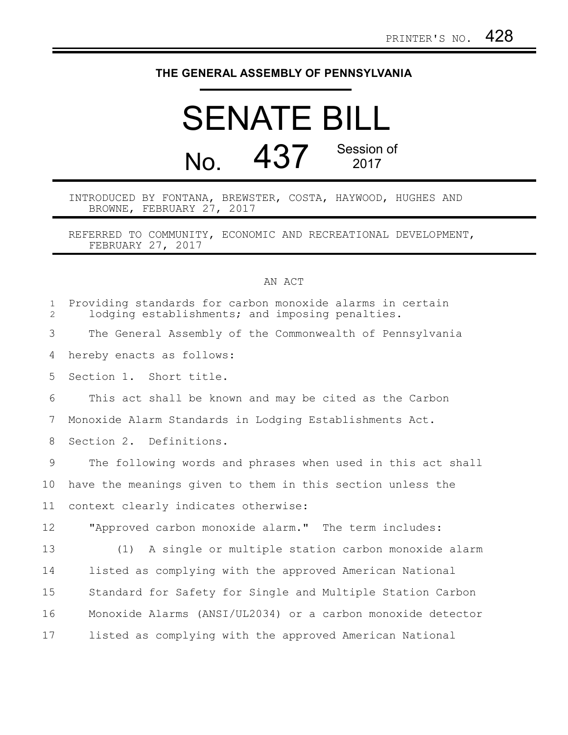## **THE GENERAL ASSEMBLY OF PENNSYLVANIA**

## SENATE BILL No. 437 Session of 2017

INTRODUCED BY FONTANA, BREWSTER, COSTA, HAYWOOD, HUGHES AND BROWNE, FEBRUARY 27, 2017

REFERRED TO COMMUNITY, ECONOMIC AND RECREATIONAL DEVELOPMENT, FEBRUARY 27, 2017

## AN ACT

| $\mathbf{1}$<br>$\overline{2}$ | Providing standards for carbon monoxide alarms in certain<br>lodging establishments; and imposing penalties. |
|--------------------------------|--------------------------------------------------------------------------------------------------------------|
| 3                              | The General Assembly of the Commonwealth of Pennsylvania                                                     |
| 4                              | hereby enacts as follows:                                                                                    |
| 5                              | Section 1. Short title.                                                                                      |
| 6                              | This act shall be known and may be cited as the Carbon                                                       |
| 7                              | Monoxide Alarm Standards in Lodging Establishments Act.                                                      |
| 8                              | Section 2. Definitions.                                                                                      |
| 9                              | The following words and phrases when used in this act shall                                                  |
|                                |                                                                                                              |
| 10                             | have the meanings given to them in this section unless the                                                   |
| 11                             | context clearly indicates otherwise:                                                                         |
| 12                             | "Approved carbon monoxide alarm." The term includes:                                                         |
| 13                             | A single or multiple station carbon monoxide alarm<br>(1)                                                    |
| 14                             | listed as complying with the approved American National                                                      |
| 15                             | Standard for Safety for Single and Multiple Station Carbon                                                   |
| 16                             | Monoxide Alarms (ANSI/UL2034) or a carbon monoxide detector                                                  |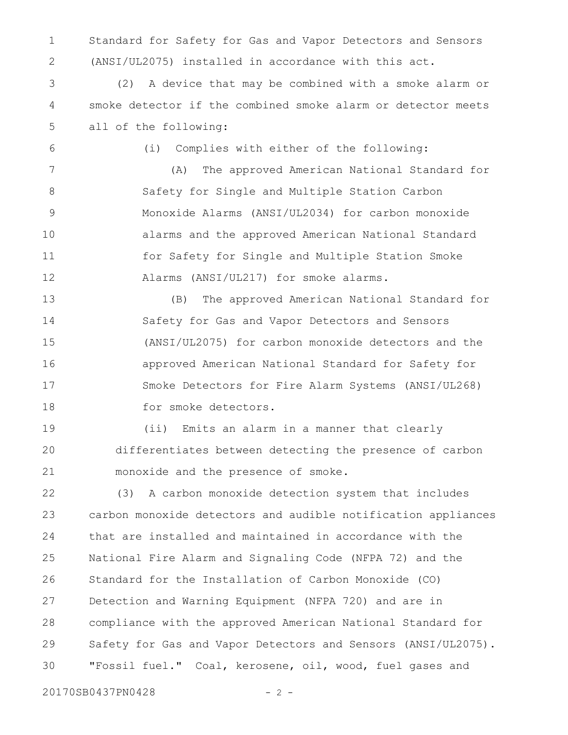Standard for Safety for Gas and Vapor Detectors and Sensors (ANSI/UL2075) installed in accordance with this act. 1 2

(2) A device that may be combined with a smoke alarm or smoke detector if the combined smoke alarm or detector meets all of the following: 3 4 5

6

(i) Complies with either of the following:

(A) The approved American National Standard for Safety for Single and Multiple Station Carbon Monoxide Alarms (ANSI/UL2034) for carbon monoxide alarms and the approved American National Standard for Safety for Single and Multiple Station Smoke Alarms (ANSI/UL217) for smoke alarms. 7 8 9 10 11 12

(B) The approved American National Standard for Safety for Gas and Vapor Detectors and Sensors (ANSI/UL2075) for carbon monoxide detectors and the approved American National Standard for Safety for Smoke Detectors for Fire Alarm Systems (ANSI/UL268) for smoke detectors. 13 14 15 16 17 18

(ii) Emits an alarm in a manner that clearly differentiates between detecting the presence of carbon monoxide and the presence of smoke. 19 20 21

(3) A carbon monoxide detection system that includes carbon monoxide detectors and audible notification appliances that are installed and maintained in accordance with the National Fire Alarm and Signaling Code (NFPA 72) and the Standard for the Installation of Carbon Monoxide (CO) Detection and Warning Equipment (NFPA 720) and are in compliance with the approved American National Standard for Safety for Gas and Vapor Detectors and Sensors (ANSI/UL2075). "Fossil fuel." Coal, kerosene, oil, wood, fuel gases and 22 23 24 25 26 27 28 29 30

20170SB0437PN0428 - 2 -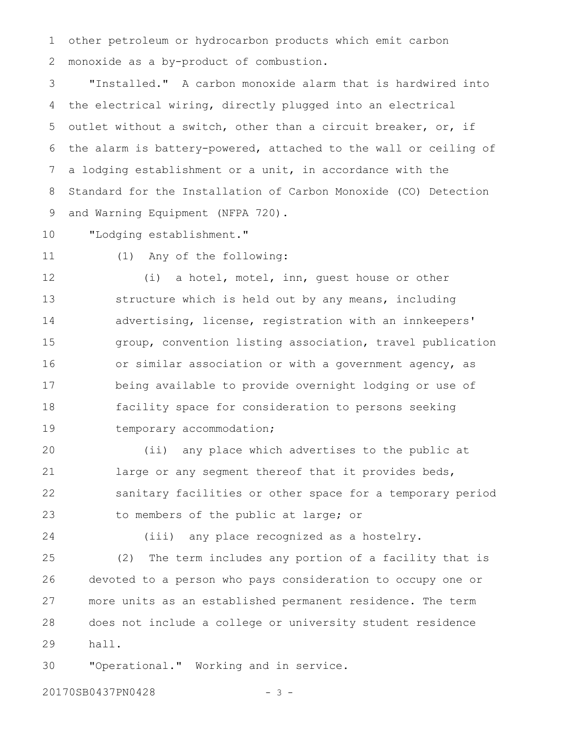other petroleum or hydrocarbon products which emit carbon monoxide as a by-product of combustion. 1 2

"Installed." A carbon monoxide alarm that is hardwired into the electrical wiring, directly plugged into an electrical outlet without a switch, other than a circuit breaker, or, if the alarm is battery-powered, attached to the wall or ceiling of a lodging establishment or a unit, in accordance with the Standard for the Installation of Carbon Monoxide (CO) Detection and Warning Equipment (NFPA 720). 3 4 5 6 7 8 9

"Lodging establishment." 10

11

(1) Any of the following:

(i) a hotel, motel, inn, guest house or other structure which is held out by any means, including advertising, license, registration with an innkeepers' group, convention listing association, travel publication or similar association or with a government agency, as being available to provide overnight lodging or use of facility space for consideration to persons seeking temporary accommodation; 12 13 14 15 16 17 18 19

(ii) any place which advertises to the public at large or any segment thereof that it provides beds, sanitary facilities or other space for a temporary period to members of the public at large; or 20 21 22 23

24

(iii) any place recognized as a hostelry.

(2) The term includes any portion of a facility that is devoted to a person who pays consideration to occupy one or more units as an established permanent residence. The term does not include a college or university student residence hall. 25 26 27 28 29

"Operational." Working and in service. 30

20170SB0437PN0428 - 3 -